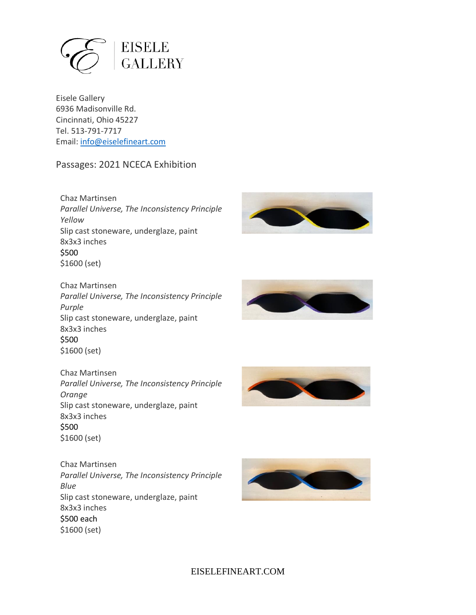

Eisele Gallery 6936 Madisonville Rd. Cincinnati, Ohio 45227 Tel. 513-791-7717 Email: [info@eiselefineart.com](mailto:info@eiselefineart.com)

## Passages: 2021 NCECA Exhibition

Chaz Martinsen *Parallel Universe, The Inconsistency Principle Yellow* Slip cast stoneware, underglaze, paint 8x3x3 inches \$500 \$1600 (set)



Chaz Martinsen *Parallel Universe, The Inconsistency Principle Purple* Slip cast stoneware, underglaze, paint 8x3x3 inches \$500 \$1600 (set)



Chaz Martinsen *Parallel Universe, The Inconsistency Principle Orange* Slip cast stoneware, underglaze, paint 8x3x3 inches \$500 \$1600 (set)

Chaz Martinsen *Parallel Universe, The Inconsistency Principle Blue* Slip cast stoneware, underglaze, paint 8x3x3 inches \$500 each \$1600 (set)



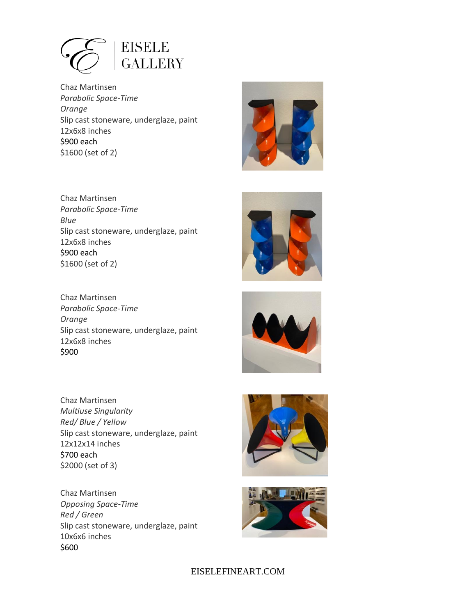

Chaz Martinsen *Parabolic Space-Time Orange* Slip cast stoneware, underglaze, paint 12x6x8 inches \$900 each \$1600 (set of 2)



Chaz Martinsen *Parabolic Space-Time Blue* Slip cast stoneware, underglaze, paint 12x6x8 inches \$900 each \$1600 (set of 2)



Chaz Martinsen *Parabolic Space-Time Orange* Slip cast stoneware, underglaze, paint 12x6x8 inches \$900



Chaz Martinsen *Multiuse Singularity Red/ Blue / Yellow* Slip cast stoneware, underglaze, paint 12x12x14 inches \$700 each \$2000 (set of 3)

Chaz Martinsen *Opposing Space-Time Red / Green* Slip cast stoneware, underglaze, paint 10x6x6 inches \$600



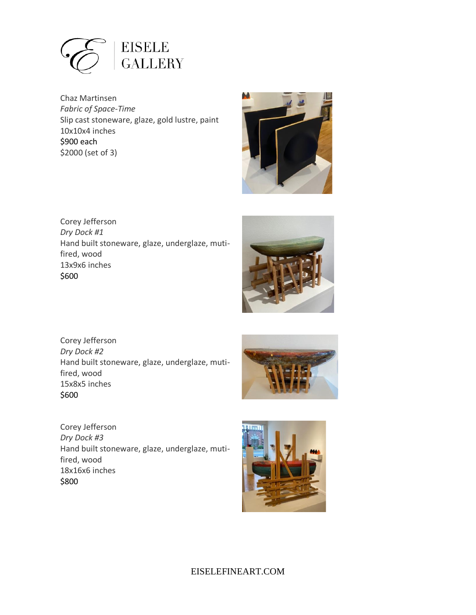

Chaz Martinsen *Fabric of Space-Time* Slip cast stoneware, glaze, gold lustre, paint 10x10x4 inches \$900 each \$2000 (set of 3)



Corey Jefferson *Dry Dock #1* Hand built stoneware, glaze, underglaze, mutifired, wood 13x9x6 inches \$600



Corey Jefferson *Dry Dock #2* Hand built stoneware, glaze, underglaze, mutifired, wood 15x8x5 inches \$600



Corey Jefferson *Dry Dock #3* Hand built stoneware, glaze, underglaze, mutifired, wood 18x16x6 inches \$800